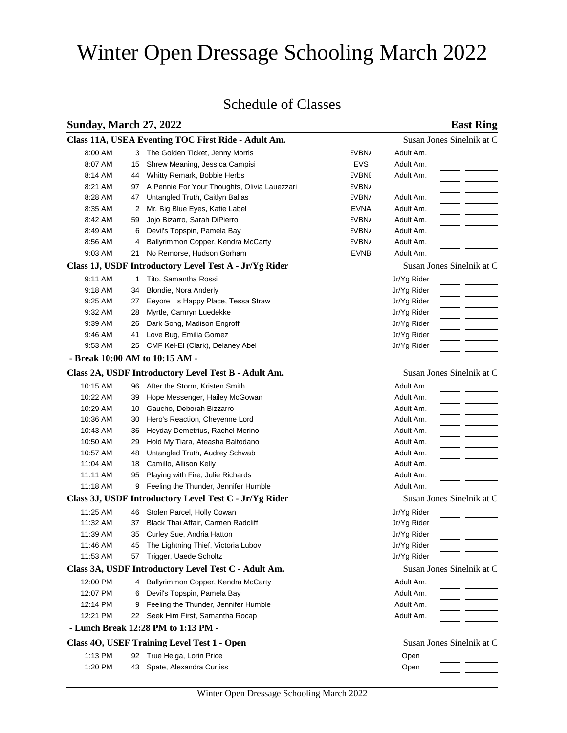# Winter Open Dressage Schooling March 2022

## Schedule of Classes

## **Sunday, March 27, 2022 East Ring**

|                                                      |    | Class 11A, USEA Eventing TOC First Ride - Adult Am.    |              |                           | Susan Jones Sinelnik at C |
|------------------------------------------------------|----|--------------------------------------------------------|--------------|---------------------------|---------------------------|
| 8:00 AM                                              |    | 3 The Golden Ticket, Jenny Morris                      | :VBN/        | Adult Am.                 |                           |
| 8:07 AM                                              | 15 | Shrew Meaning, Jessica Campisi                         | EVS          | Adult Am.                 |                           |
| 8:14 AM                                              | 44 | Whitty Remark, Bobbie Herbs                            | <b>EVBNE</b> | Adult Am.                 |                           |
| 8:21 AM                                              | 97 | A Pennie For Your Thoughts, Olivia Lauezzari           | :VBN/        |                           |                           |
| 8:28 AM                                              | 47 | Untangled Truth, Caitlyn Ballas                        | EVBN/        | Adult Am.                 |                           |
| 8:35 AM                                              | 2  | Mr. Big Blue Eyes, Katie Label                         | EVNA         | Adult Am.                 |                           |
| 8:42 AM                                              | 59 | Jojo Bizarro, Sarah DiPierro                           | :VBN/        | Adult Am.                 |                           |
| 8:49 AM                                              | 6  | Devil's Topspin, Pamela Bay                            | EVBN/        | Adult Am.                 |                           |
| 8:56 AM                                              | 4  | Ballyrimmon Copper, Kendra McCarty                     | EVBN/        | Adult Am.                 |                           |
| 9:03 AM                                              | 21 | No Remorse, Hudson Gorham                              | EVNB         | Adult Am.                 |                           |
|                                                      |    | Class 1J, USDF Introductory Level Test A - Jr/Yg Rider |              | Susan Jones Sinelnik at C |                           |
| 9:11 AM                                              | 1  | Tito, Samantha Rossi                                   |              | Jr/Yg Rider               |                           |
| 9:18 AM                                              | 34 | Blondie, Nora Anderly                                  |              | Jr/Yg Rider               |                           |
| 9:25 AM                                              | 27 | Eeyore□ s Happy Place, Tessa Straw                     |              | Jr/Yg Rider               |                           |
| 9:32 AM                                              | 28 | Myrtle, Camryn Luedekke                                |              | Jr/Yg Rider               |                           |
| 9:39 AM                                              | 26 | Dark Song, Madison Engroff                             |              | Jr/Yg Rider               |                           |
| 9:46 AM                                              | 41 | Love Bug, Emilia Gomez                                 |              | Jr/Yg Rider               |                           |
| 9:53 AM                                              | 25 | CMF Kel-El (Clark), Delaney Abel                       |              | Jr/Yg Rider               |                           |
|                                                      |    | - Break 10:00 AM to 10:15 AM -                         |              |                           |                           |
|                                                      |    | Class 2A, USDF Introductory Level Test B - Adult Am.   |              | Susan Jones Sinelnik at C |                           |
| 10:15 AM                                             | 96 | After the Storm, Kristen Smith                         |              | Adult Am.                 |                           |
| 10:22 AM                                             | 39 | Hope Messenger, Hailey McGowan                         |              | Adult Am.                 |                           |
| 10:29 AM                                             | 10 | Gaucho, Deborah Bizzarro                               |              | Adult Am.                 |                           |
| 10:36 AM                                             | 30 | Hero's Reaction, Cheyenne Lord                         |              | Adult Am.                 |                           |
| 10:43 AM                                             | 36 | Heyday Demetrius, Rachel Merino                        |              | Adult Am.                 |                           |
| 10:50 AM                                             | 29 | Hold My Tiara, Ateasha Baltodano                       |              | Adult Am.                 |                           |
| 10:57 AM                                             | 48 | Untangled Truth, Audrey Schwab                         |              | Adult Am.                 |                           |
| 11:04 AM                                             | 18 | Camillo, Allison Kelly                                 |              | Adult Am.                 |                           |
| 11:11 AM                                             | 95 | Playing with Fire, Julie Richards                      |              | Adult Am.                 |                           |
| 11:18 AM                                             | 9  | Feeling the Thunder, Jennifer Humble                   |              | Adult Am.                 |                           |
|                                                      |    | Class 3J, USDF Introductory Level Test C - Jr/Yg Rider |              | Susan Jones Sinelnik at C |                           |
| 11:25 AM                                             | 46 | Stolen Parcel, Holly Cowan                             |              | Jr/Yg Rider               |                           |
| 11:32 AM                                             | 37 | Black Thai Affair, Carmen Radcliff                     |              | Jr/Yg Rider               |                           |
| 11:39 AM                                             | 35 | Curley Sue, Andria Hatton                              |              | Jr/Yg Rider               |                           |
| 11:46 AM                                             |    | 45 The Lightning Thief, Victoria Lubov                 |              | Jr/Yg Rider               |                           |
| 11:53 AM                                             |    | 57 Trigger, Uaede Scholtz                              |              | Jr/Yg Rider               |                           |
| Class 3A, USDF Introductory Level Test C - Adult Am. |    |                                                        |              | Susan Jones Sinelnik at C |                           |
| 12:00 PM                                             | 4  | Ballyrimmon Copper, Kendra McCarty                     |              | Adult Am.                 |                           |
| 12:07 PM                                             | 6  | Devil's Topspin, Pamela Bay                            |              | Adult Am.                 |                           |
| 12:14 PM                                             | 9  | Feeling the Thunder, Jennifer Humble                   |              | Adult Am.                 |                           |
| 12:21 PM                                             |    | 22 Seek Him First, Samantha Rocap                      |              | Adult Am.                 |                           |
|                                                      |    | - Lunch Break 12:28 PM to 1:13 PM -                    |              |                           |                           |
|                                                      |    | Class 40, USEF Training Level Test 1 - Open            |              | Susan Jones Sinelnik at C |                           |
| 1:13 PM                                              |    | 92 True Helga, Lorin Price                             |              | Open                      |                           |
| 1:20 PM                                              | 43 | Spate, Alexandra Curtiss                               |              | Open                      |                           |
|                                                      |    |                                                        |              |                           |                           |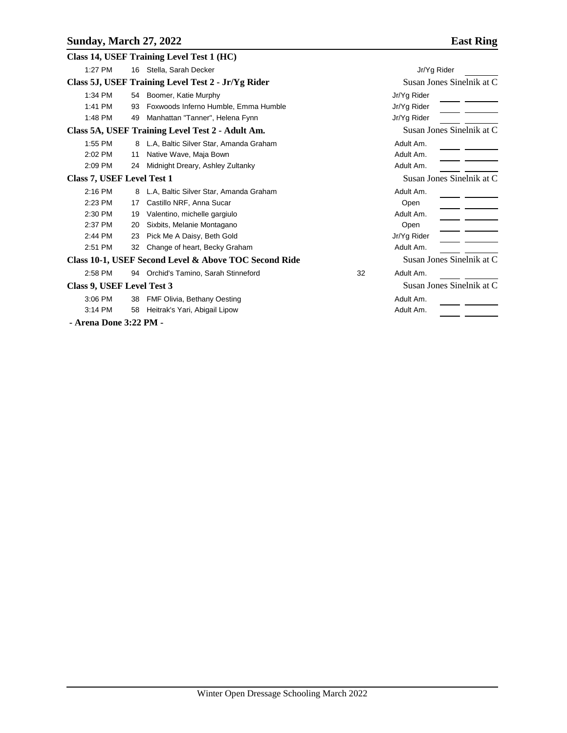|                                                    |                            |    | Class 14, USEF Training Level Test 1 (HC)             |    |                           |  |  |
|----------------------------------------------------|----------------------------|----|-------------------------------------------------------|----|---------------------------|--|--|
|                                                    | 1:27 PM                    |    | 16 Stella, Sarah Decker                               |    | Jr/Yg Rider               |  |  |
| Class 5J, USEF Training Level Test 2 - Jr/Yg Rider |                            |    |                                                       |    | Susan Jones Sinelnik at C |  |  |
|                                                    | 1:34 PM                    | 54 | Boomer, Katie Murphy                                  |    | Jr/Yg Rider               |  |  |
|                                                    | 1:41 PM                    | 93 | Foxwoods Inferno Humble, Emma Humble                  |    | Jr/Yg Rider               |  |  |
|                                                    | 1:48 PM                    | 49 | Manhattan "Tanner", Helena Fynn                       |    | Jr/Yg Rider               |  |  |
| Class 5A, USEF Training Level Test 2 - Adult Am.   |                            |    |                                                       |    | Susan Jones Sinelnik at C |  |  |
|                                                    | 1:55 PM                    | 8  | L.A, Baltic Silver Star, Amanda Graham                |    | Adult Am.                 |  |  |
|                                                    | 2:02 PM                    | 11 | Native Wave, Maja Bown                                |    | Adult Am.                 |  |  |
|                                                    | 2:09 PM                    | 24 | Midnight Dreary, Ashley Zultanky                      |    | Adult Am.                 |  |  |
| <b>Class 7, USEF Level Test 1</b>                  |                            |    | Susan Jones Sinelnik at C                             |    |                           |  |  |
|                                                    | $2:16$ PM                  | 8  | L.A, Baltic Silver Star, Amanda Graham                |    | Adult Am.                 |  |  |
|                                                    | 2:23 PM                    | 17 | Castillo NRF, Anna Sucar                              |    | Open                      |  |  |
|                                                    | 2:30 PM                    | 19 | Valentino, michelle gargiulo                          |    | Adult Am.                 |  |  |
|                                                    | 2:37 PM                    | 20 | Sixbits, Melanie Montagano                            |    | Open                      |  |  |
|                                                    | 2:44 PM                    | 23 | Pick Me A Daisy, Beth Gold                            |    | Jr/Yg Rider               |  |  |
|                                                    | 2:51 PM                    | 32 | Change of heart, Becky Graham                         |    | Adult Am.                 |  |  |
|                                                    |                            |    | Class 10-1, USEF Second Level & Above TOC Second Ride |    | Susan Jones Sinelnik at C |  |  |
|                                                    | 2:58 PM                    |    | 94 Orchid's Tamino, Sarah Stinneford                  | 32 | Adult Am.                 |  |  |
|                                                    | Class 9, USEF Level Test 3 |    |                                                       |    | Susan Jones Sinelnik at C |  |  |
|                                                    | 3:06 PM                    | 38 | FMF Olivia, Bethany Oesting                           |    | Adult Am.                 |  |  |
|                                                    | 3:14 PM                    | 58 | Heitrak's Yari, Abigail Lipow                         |    | Adult Am.                 |  |  |
|                                                    |                            |    |                                                       |    |                           |  |  |

 **- Arena Done 3:22 PM -**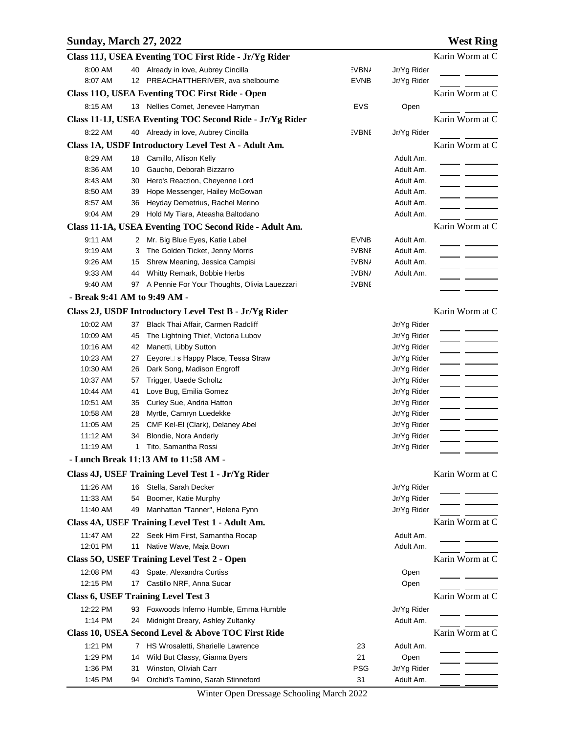## **Sunday, March 27, 2022 West Ring**

|                              |    | Class 11J, USEA Eventing TOC First Ride - Jr/Yg Rider               |              |                            | Karin Worm at C |
|------------------------------|----|---------------------------------------------------------------------|--------------|----------------------------|-----------------|
| 8:00 AM                      |    | 40 Already in love, Aubrey Cincilla                                 | :VBN/        | Jr/Yg Rider                |                 |
| 8:07 AM                      |    | 12 PREACHATTHERIVER, ava shelbourne                                 | EVNB         | Jr/Yg Rider                |                 |
|                              |    | Class 110, USEA Eventing TOC First Ride - Open                      |              |                            | Karin Worm at C |
| 8:15 AM                      |    | 13 Nellies Comet, Jenevee Harryman                                  | <b>EVS</b>   | Open                       |                 |
|                              |    | Class 11-1J, USEA Eventing TOC Second Ride - Jr/Yg Rider            |              |                            | Karin Worm at C |
| 8:22 AM                      |    | 40 Already in love, Aubrey Cincilla                                 | <b>EVBNE</b> | Jr/Yg Rider                |                 |
|                              |    | Class 1A, USDF Introductory Level Test A - Adult Am.                |              |                            | Karin Worm at C |
|                              |    | 18 Camillo, Allison Kelly                                           |              | Adult Am.                  |                 |
| 8:29 AM<br>8:36 AM           | 10 | Gaucho, Deborah Bizzarro                                            |              | Adult Am.                  |                 |
| 8:43 AM                      | 30 | Hero's Reaction, Cheyenne Lord                                      |              | Adult Am.                  |                 |
| 8:50 AM                      | 39 | Hope Messenger, Hailey McGowan                                      |              | Adult Am.                  |                 |
| 8:57 AM                      | 36 | Heyday Demetrius, Rachel Merino                                     |              | Adult Am.                  |                 |
| 9:04 AM                      | 29 | Hold My Tiara, Ateasha Baltodano                                    |              | Adult Am.                  |                 |
|                              |    | Class 11-1A, USEA Eventing TOC Second Ride - Adult Am.              |              |                            | Karin Worm at C |
| 9:11 AM                      |    |                                                                     | <b>EVNB</b>  | Adult Am.                  |                 |
| 9:19 AM                      | 3  | 2 Mr. Big Blue Eyes, Katie Label<br>The Golden Ticket, Jenny Morris | <b>EVBNI</b> | Adult Am.                  |                 |
| 9:26 AM                      | 15 | Shrew Meaning, Jessica Campisi                                      | :VBN/        | Adult Am.                  |                 |
| 9:33 AM                      | 44 | Whitty Remark, Bobbie Herbs                                         | :VBN/        | Adult Am.                  |                 |
| 9:40 AM                      |    | 97 A Pennie For Your Thoughts, Olivia Lauezzari                     | <b>EVBNI</b> |                            |                 |
| - Break 9:41 AM to 9:49 AM - |    |                                                                     |              |                            |                 |
|                              |    | Class 2J, USDF Introductory Level Test B - Jr/Yg Rider              |              |                            | Karin Worm at C |
| 10:02 AM                     | 37 | Black Thai Affair, Carmen Radcliff                                  |              |                            |                 |
| 10:09 AM                     | 45 | The Lightning Thief, Victoria Lubov                                 |              | Jr/Yg Rider                |                 |
| 10:16 AM                     | 42 | Manetti, Libby Sutton                                               |              | Jr/Yg Rider<br>Jr/Yg Rider |                 |
| 10:23 AM                     | 27 | Eeyore□ s Happy Place, Tessa Straw                                  |              | Jr/Yg Rider                |                 |
| 10:30 AM                     | 26 | Dark Song, Madison Engroff                                          |              | Jr/Yg Rider                |                 |
| 10:37 AM                     | 57 | Trigger, Uaede Scholtz                                              |              | Jr/Yg Rider                |                 |
| 10:44 AM                     | 41 | Love Bug, Emilia Gomez                                              |              | Jr/Yg Rider                |                 |
| 10:51 AM                     | 35 | Curley Sue, Andria Hatton                                           |              | Jr/Yg Rider                |                 |
| 10:58 AM                     | 28 | Myrtle, Camryn Luedekke                                             |              | Jr/Yg Rider                |                 |
| 11:05 AM                     | 25 | CMF Kel-El (Clark), Delaney Abel                                    |              | Jr/Yg Rider                |                 |
| 11:12 AM                     | 34 | Blondie, Nora Anderly                                               |              | Jr/Yg Rider                |                 |
| 11:19 AM                     | 1  | Tito, Samantha Rossi                                                |              | Jr/Yg Rider                |                 |
|                              |    | - Lunch Break 11:13 AM to 11:58 AM -                                |              |                            |                 |
|                              |    | Class 4J, USEF Training Level Test 1 - Jr/Yg Rider                  |              |                            | Karin Worm at C |
| 11:26 AM                     | 16 | Stella, Sarah Decker                                                |              | Jr/Yg Rider                |                 |
| 11:33 AM                     | 54 | Boomer, Katie Murphy                                                |              | Jr/Yg Rider                |                 |
| 11:40 AM                     | 49 | Manhattan "Tanner", Helena Fynn                                     |              | Jr/Yg Rider                |                 |
|                              |    | Class 4A, USEF Training Level Test 1 - Adult Am.                    |              |                            | Karin Worm at C |
| 11:47 AM                     |    | 22 Seek Him First, Samantha Rocap                                   |              | Adult Am.                  |                 |
| 12:01 PM                     |    | 11 Native Wave, Maja Bown                                           |              | Adult Am.                  |                 |
|                              |    | Class 50, USEF Training Level Test 2 - Open                         |              |                            | Karin Worm at C |
| 12:08 PM                     | 43 | Spate, Alexandra Curtiss                                            |              | Open                       |                 |
| 12:15 PM                     | 17 | Castillo NRF, Anna Sucar                                            |              | Open                       |                 |
|                              |    | <b>Class 6, USEF Training Level Test 3</b>                          |              |                            | Karin Worm at C |
| 12:22 PM                     |    | 93 Foxwoods Inferno Humble, Emma Humble                             |              | Jr/Yg Rider                |                 |
| 1:14 PM                      | 24 | Midnight Dreary, Ashley Zultanky                                    |              | Adult Am.                  |                 |
|                              |    | Class 10, USEA Second Level & Above TOC First Ride                  |              |                            | Karin Worm at C |
| 1:21 PM                      |    | 7 HS Wrosaletti, Sharielle Lawrence                                 | 23           | Adult Am.                  |                 |
| 1:29 PM                      | 14 | Wild But Classy, Gianna Byers                                       | 21           | Open                       |                 |
| 1:36 PM                      | 31 | Winston, Oliviah Carr                                               | <b>PSG</b>   | Jr/Yg Rider                |                 |
| 1:45 PM                      |    | 94 Orchid's Tamino, Sarah Stinneford                                | 31           | Adult Am.                  |                 |

Winter Open Dressage Schooling March 2022